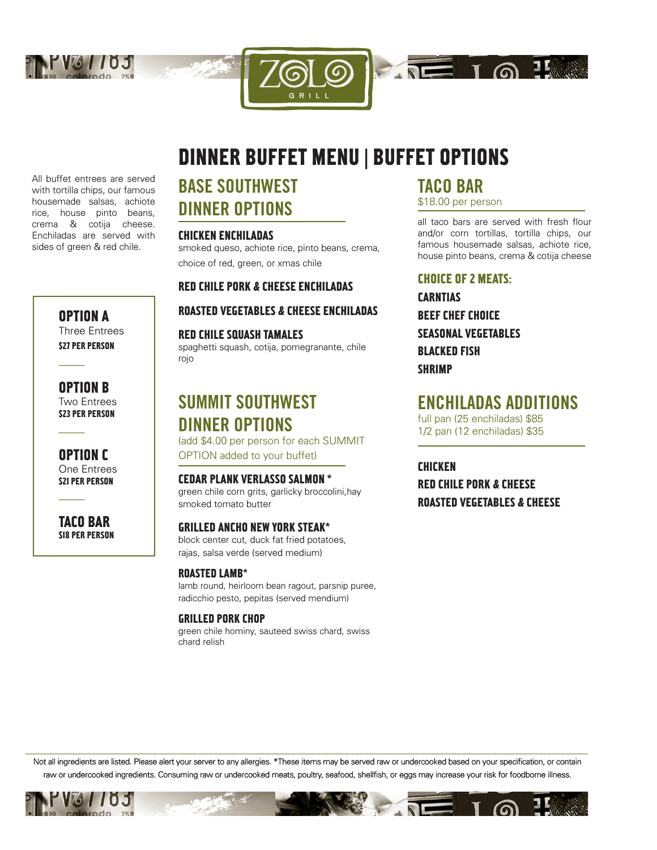



GRILI

All buffet entrees are served with tortilla chips, our famous housemade salsas, achiote rice, house pinto beans, crema & cotija cheese. Enchiladas are served with sides of green & red chile.

> OPTION A Three Entrees **\$27 PER PERSON**

OPTION B Two Entrees **\$23 PER PERSON** 

–––––

–––––

–––––

OPTION C One Entrees **S21 PER PERSON** 

TACO BAR **S18 PER PERSON** 

# BASE SOUTHWEST DINNER OPTIONS

#### CHICKEN ENCHILADAS

smoked queso, achiote rice, pinto beans, crema, choice of red, green, or xmas chile

#### RED CHILE PORK & CHEESE ENCHILADAS

#### ROASTED VEGETABLES & CHEESE ENCHILADAS

#### RED CHILE SQUASH TAMALES

spaghetti squash, cotija, pomegranante, chile rojo

### SUMMIT SOUTHWEST DINNER OPTIONS (add \$4.00 per person for each SUMMIT

OPTION added to your buffet)

CEDAR PLANK VERLASSO SALMON \* green chile corn grits, garlicky broccolini,hay smoked tomato butter

GRILLED ANCHO NEW YORK STEAK\* block center cut, duck fat fried potatoes, rajas, salsa verde (served medium)

#### ROASTED LAMB\*

lamb round, heirloom bean ragout, parsnip puree, radicchio pesto, pepitas (served mendium)

#### GRILLED PORK CHOP

green chile hominy, sauteed swiss chard, swiss chard relish

### TACO BAR

\$18.00 per person

 $\sqrt{10}$  To  $\sqrt{10}$ 

all taco bars are served with fresh flour and/or corn tortillas, tortilla chips, our famous housemade salsas, achiote rice, house pinto beans, crema & cotija cheese

#### CHOICE OF 2 MEATS:

CARNTIAS BEEF CHEF CHOICE SEASONAL VEGETABLES BLACKED FISH **SHRIMP** 

### ENCHILADAS ADDITIONS

full pan (25 enchiladas) \$85 1/2 pan (12 enchiladas) \$35

CHICKEN RED CHILE PORK & CHEESE ROASTED VEGETABLES & CHEESE

Not all ingredients are listed. Please alert your server to any allergies. \*These items may be served raw or undercooked based on your specification, or contain raw or undercooked ingredients. Consuming raw or undercooked meats, poultry, seafood, shellfish, or eggs may increase your risk for foodborne illness.

 $\mathbf{Z}$